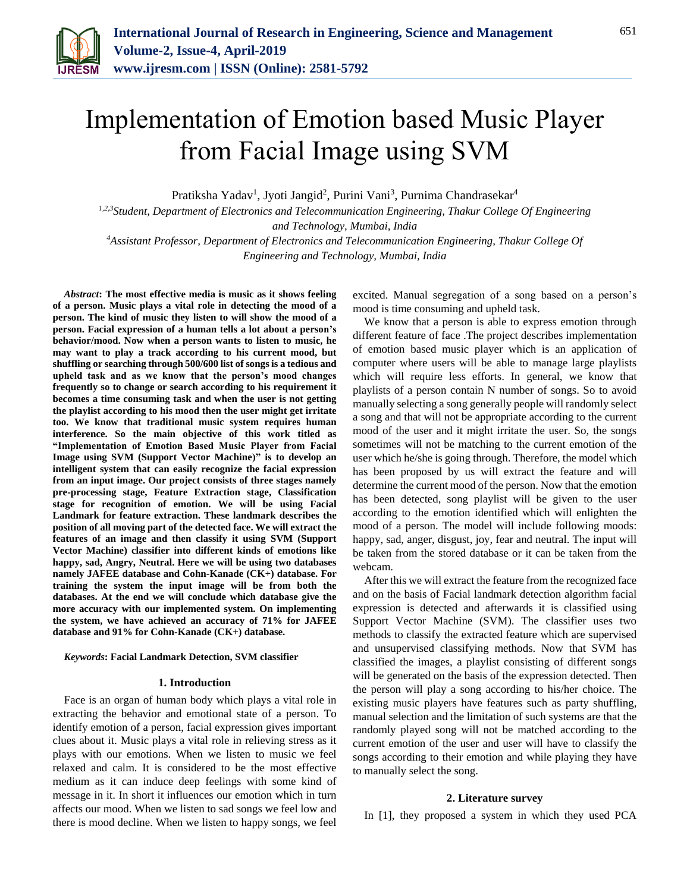

# Implementation of Emotion based Music Player from Facial Image using SVM

Pratiksha Yadav<sup>1</sup>, Jyoti Jangid<sup>2</sup>, Purini Vani<sup>3</sup>, Purnima Chandrasekar<sup>4</sup>

*1,2,3Student, Department of Electronics and Telecommunication Engineering, Thakur College Of Engineering and Technology, Mumbai, India*

*<sup>4</sup>Assistant Professor, Department of Electronics and Telecommunication Engineering, Thakur College Of Engineering and Technology, Mumbai, India*

*Abstract***: The most effective media is music as it shows feeling of a person. Music plays a vital role in detecting the mood of a person. The kind of music they listen to will show the mood of a person. Facial expression of a human tells a lot about a person's behavior/mood. Now when a person wants to listen to music, he may want to play a track according to his current mood, but shuffling or searching through 500/600 list of songs is a tedious and upheld task and as we know that the person's mood changes frequently so to change or search according to his requirement it becomes a time consuming task and when the user is not getting the playlist according to his mood then the user might get irritate too. We know that traditional music system requires human interference. So the main objective of this work titled as "Implementation of Emotion Based Music Player from Facial Image using SVM (Support Vector Machine)" is to develop an intelligent system that can easily recognize the facial expression from an input image. Our project consists of three stages namely pre-processing stage, Feature Extraction stage, Classification stage for recognition of emotion. We will be using Facial Landmark for feature extraction. These landmark describes the position of all moving part of the detected face. We will extract the features of an image and then classify it using SVM (Support Vector Machine) classifier into different kinds of emotions like happy, sad, Angry, Neutral. Here we will be using two databases namely JAFEE database and Cohn-Kanade (CK+) database. For training the system the input image will be from both the databases. At the end we will conclude which database give the more accuracy with our implemented system. On implementing the system, we have achieved an accuracy of 71% for JAFEE database and 91% for Cohn-Kanade (CK+) database.**

### *Keywords***: Facial Landmark Detection, SVM classifier**

#### **1. Introduction**

Face is an organ of human body which plays a vital role in extracting the behavior and emotional state of a person. To identify emotion of a person, facial expression gives important clues about it. Music plays a vital role in relieving stress as it plays with our emotions. When we listen to music we feel relaxed and calm. It is considered to be the most effective medium as it can induce deep feelings with some kind of message in it. In short it influences our emotion which in turn affects our mood. When we listen to sad songs we feel low and there is mood decline. When we listen to happy songs, we feel excited. Manual segregation of a song based on a person's mood is time consuming and upheld task.

We know that a person is able to express emotion through different feature of face .The project describes implementation of emotion based music player which is an application of computer where users will be able to manage large playlists which will require less efforts. In general, we know that playlists of a person contain N number of songs. So to avoid manually selecting a song generally people will randomly select a song and that will not be appropriate according to the current mood of the user and it might irritate the user. So, the songs sometimes will not be matching to the current emotion of the user which he/she is going through. Therefore, the model which has been proposed by us will extract the feature and will determine the current mood of the person. Now that the emotion has been detected, song playlist will be given to the user according to the emotion identified which will enlighten the mood of a person. The model will include following moods: happy, sad, anger, disgust, joy, fear and neutral. The input will be taken from the stored database or it can be taken from the webcam.

After this we will extract the feature from the recognized face and on the basis of Facial landmark detection algorithm facial expression is detected and afterwards it is classified using Support Vector Machine (SVM). The classifier uses two methods to classify the extracted feature which are supervised and unsupervised classifying methods. Now that SVM has classified the images, a playlist consisting of different songs will be generated on the basis of the expression detected. Then the person will play a song according to his/her choice. The existing music players have features such as party shuffling, manual selection and the limitation of such systems are that the randomly played song will not be matched according to the current emotion of the user and user will have to classify the songs according to their emotion and while playing they have to manually select the song.

#### **2. Literature survey**

In [1], they proposed a system in which they used PCA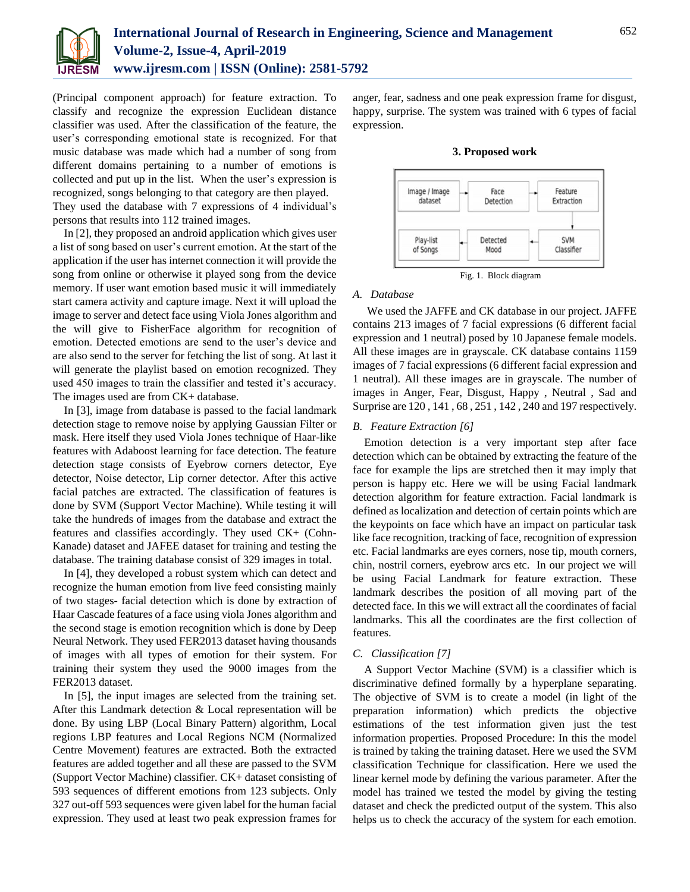

(Principal component approach) for feature extraction. To classify and recognize the expression Euclidean distance classifier was used. After the classification of the feature, the user's corresponding emotional state is recognized. For that music database was made which had a number of song from different domains pertaining to a number of emotions is collected and put up in the list. When the user's expression is recognized, songs belonging to that category are then played. They used the database with 7 expressions of 4 individual's persons that results into 112 trained images.

In [2], they proposed an android application which gives user a list of song based on user's current emotion. At the start of the application if the user has internet connection it will provide the song from online or otherwise it played song from the device memory. If user want emotion based music it will immediately start camera activity and capture image. Next it will upload the image to server and detect face using Viola Jones algorithm and the will give to FisherFace algorithm for recognition of emotion. Detected emotions are send to the user's device and are also send to the server for fetching the list of song. At last it will generate the playlist based on emotion recognized. They used 450 images to train the classifier and tested it's accuracy. The images used are from CK+ database.

In [3], image from database is passed to the facial landmark detection stage to remove noise by applying Gaussian Filter or mask. Here itself they used Viola Jones technique of Haar-like features with Adaboost learning for face detection. The feature detection stage consists of Eyebrow corners detector, Eye detector, Noise detector, Lip corner detector. After this active facial patches are extracted. The classification of features is done by SVM (Support Vector Machine). While testing it will take the hundreds of images from the database and extract the features and classifies accordingly. They used CK+ (Cohn-Kanade) dataset and JAFEE dataset for training and testing the database. The training database consist of 329 images in total.

In [4], they developed a robust system which can detect and recognize the human emotion from live feed consisting mainly of two stages- facial detection which is done by extraction of Haar Cascade features of a face using viola Jones algorithm and the second stage is emotion recognition which is done by Deep Neural Network. They used FER2013 dataset having thousands of images with all types of emotion for their system. For training their system they used the 9000 images from the FER2013 dataset.

In [5], the input images are selected from the training set. After this Landmark detection & Local representation will be done. By using LBP (Local Binary Pattern) algorithm, Local regions LBP features and Local Regions NCM (Normalized Centre Movement) features are extracted. Both the extracted features are added together and all these are passed to the SVM (Support Vector Machine) classifier. CK+ dataset consisting of 593 sequences of different emotions from 123 subjects. Only 327 out-off 593 sequences were given label for the human facial expression. They used at least two peak expression frames for

anger, fear, sadness and one peak expression frame for disgust, happy, surprise. The system was trained with 6 types of facial expression.





## *A. Database*

We used the JAFFE and CK database in our project. JAFFE contains 213 images of 7 facial expressions (6 different facial expression and 1 neutral) posed by 10 Japanese female models. All these images are in grayscale. CK database contains 1159 images of 7 facial expressions (6 different facial expression and 1 neutral). All these images are in grayscale. The number of images in Anger, Fear, Disgust, Happy , Neutral , Sad and Surprise are 120 , 141 , 68 , 251 , 142 , 240 and 197 respectively.

## *B. Feature Extraction [6]*

Emotion detection is a very important step after face detection which can be obtained by extracting the feature of the face for example the lips are stretched then it may imply that person is happy etc. Here we will be using Facial landmark detection algorithm for feature extraction. Facial landmark is defined as localization and detection of certain points which are the keypoints on face which have an impact on particular task like face recognition, tracking of face, recognition of expression etc. Facial landmarks are eyes corners, nose tip, mouth corners, chin, nostril corners, eyebrow arcs etc. In our project we will be using Facial Landmark for feature extraction. These landmark describes the position of all moving part of the detected face. In this we will extract all the coordinates of facial landmarks. This all the coordinates are the first collection of features.

## *C. Classification [7]*

A Support Vector Machine (SVM) is a classifier which is discriminative defined formally by a hyperplane separating. The objective of SVM is to create a model (in light of the preparation information) which predicts the objective estimations of the test information given just the test information properties. Proposed Procedure: In this the model is trained by taking the training dataset. Here we used the SVM classification Technique for classification. Here we used the linear kernel mode by defining the various parameter. After the model has trained we tested the model by giving the testing dataset and check the predicted output of the system. This also helps us to check the accuracy of the system for each emotion.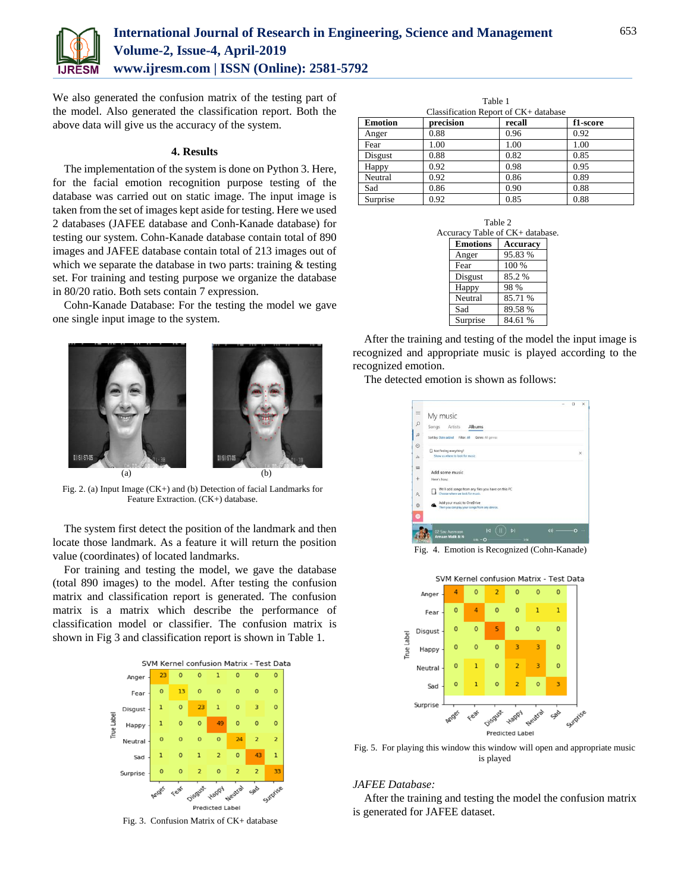

We also generated the confusion matrix of the testing part of the model. Also generated the classification report. Both the above data will give us the accuracy of the system.

## **4. Results**

The implementation of the system is done on Python 3. Here, for the facial emotion recognition purpose testing of the database was carried out on static image. The input image is taken from the set of images kept aside for testing. Here we used 2 databases (JAFEE database and Conh-Kanade database) for testing our system. Cohn-Kanade database contain total of 890 images and JAFEE database contain total of 213 images out of which we separate the database in two parts: training & testing set. For training and testing purpose we organize the database in 80/20 ratio. Both sets contain 7 expression.

Cohn-Kanade Database: For the testing the model we gave one single input image to the system.



Fig. 2. (a) Input Image (CK+) and (b) Detection of facial Landmarks for Feature Extraction. (CK+) database.

The system first detect the position of the landmark and then locate those landmark. As a feature it will return the position value (coordinates) of located landmarks.

For training and testing the model, we gave the database (total 890 images) to the model. After testing the confusion matrix and classification report is generated. The confusion matrix is a matrix which describe the performance of classification model or classifier. The confusion matrix is shown in Fig 3 and classification report is shown in Table 1.



Fig. 3. Confusion Matrix of CK+ database

| Table 1<br>Classification Report of CK+ database |           |        |          |  |  |
|--------------------------------------------------|-----------|--------|----------|--|--|
| <b>Emotion</b>                                   | precision | recall | f1-score |  |  |
| Anger                                            | 0.88      | 0.96   | 0.92     |  |  |
| Fear                                             | 1.00      | 1.00   | 1.00     |  |  |
| Disgust                                          | 0.88      | 0.82   | 0.85     |  |  |
| Happy                                            | 0.92      | 0.98   | 0.95     |  |  |
| Neutral                                          | 0.92      | 0.86   | 0.89     |  |  |
| Sad                                              | 0.86      | 0.90   | 0.88     |  |  |
| Surprise                                         | 0.92      | 0.85   | 0.88     |  |  |

| Table 2<br>Accuracy Table of CK+ database. |                 |                 |  |  |
|--------------------------------------------|-----------------|-----------------|--|--|
|                                            | <b>Emotions</b> | <b>Accuracy</b> |  |  |
|                                            | Anger           | 95.83%          |  |  |
|                                            | Fear            | 100 %           |  |  |
|                                            | Disgust         | 85.2%           |  |  |
|                                            | Happy           | 98 %            |  |  |
|                                            | Neutral         | 85.71 %         |  |  |
|                                            | Sad             | 89.58%          |  |  |
|                                            | Surprise        | 84.61 %         |  |  |

After the training and testing of the model the input image is recognized and appropriate music is played according to the recognized emotion.

The detected emotion is shown as follows:



Fig. 4. Emotion is Recognized (Cohn-Kanade)



Fig. 5. For playing this window this window will open and appropriate music is played

## *JAFEE Database:*

After the training and testing the model the confusion matrix is generated for JAFEE dataset.